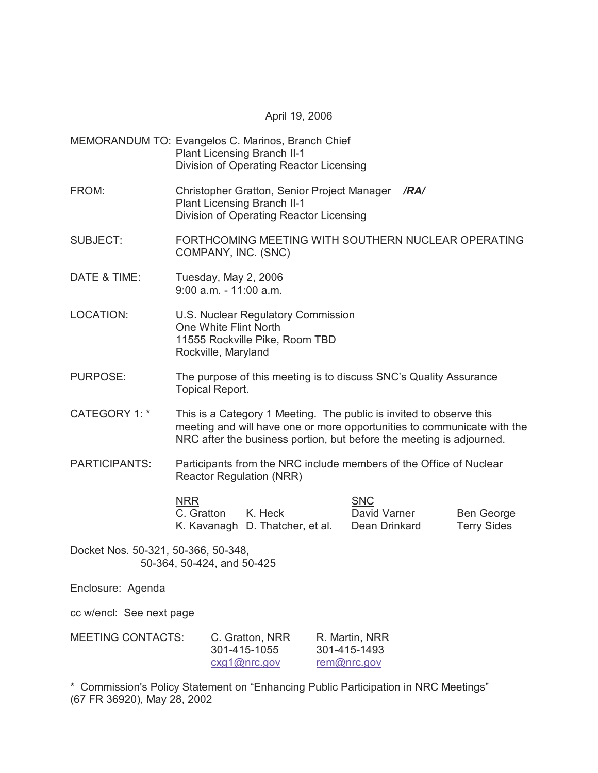April 19, 2006

- MEMORANDUM TO: Evangelos C. Marinos, Branch Chief Plant Licensing Branch II-1 Division of Operating Reactor Licensing
- FROM: Christopher Gratton, Senior Project Manager */RA/* Plant Licensing Branch II-1 Division of Operating Reactor Licensing
- SUBJECT: FORTHCOMING MEETING WITH SOUTHERN NUCLEAR OPERATING COMPANY, INC. (SNC)
- DATE & TIME: Tuesday, May 2, 2006 9:00 a.m. - 11:00 a.m.
- LOCATION: U.S. Nuclear Regulatory Commission One White Flint North 11555 Rockville Pike, Room TBD Rockville, Maryland
- PURPOSE: The purpose of this meeting is to discuss SNC's Quality Assurance Topical Report.
- CATEGORY 1: \* This is a Category 1 Meeting. The public is invited to observe this meeting and will have one or more opportunities to communicate with the NRC after the business portion, but before the meeting is adjourned.
- PARTICIPANTS: Participants from the NRC include members of the Office of Nuclear Reactor Regulation (NRR)

NRR SNC C. Gratton K. Heck David Varner Ben George K. Kavanagh D. Thatcher, et al. Dean Drinkard Terry Sides

Docket Nos. 50-321, 50-366, 50-348, 50-364, 50-424, and 50-425

Enclosure: Agenda

cc w/encl: See next page

| <b>MEETING CONTACTS:</b> | C. Gratton, NRR | R. Martin, NRR |
|--------------------------|-----------------|----------------|
|                          | 301-415-1055    | 301-415-1493   |
|                          | cxq1@nrc.gov    | rem@nrc.gov    |

\* Commission's Policy Statement on "Enhancing Public Participation in NRC Meetings" (67 FR 36920), May 28, 2002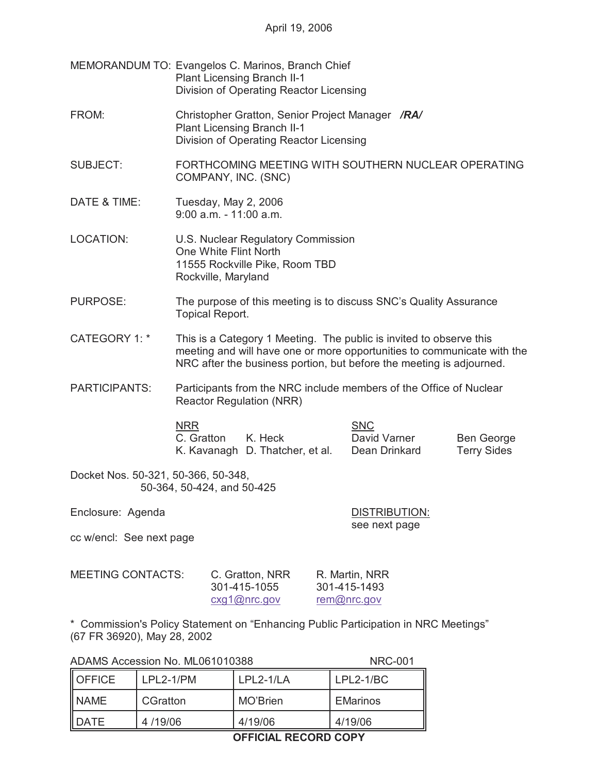| MEMORANDUM TO: Evangelos C. Marinos, Branch Chief |
|---------------------------------------------------|
| <b>Plant Licensing Branch II-1</b>                |
| Division of Operating Reactor Licensing           |

- FROM: Christopher Gratton, Senior Project Manager */RA/* Plant Licensing Branch II-1 Division of Operating Reactor Licensing
- SUBJECT: FORTHCOMING MEETING WITH SOUTHERN NUCLEAR OPERATING COMPANY, INC. (SNC)
- DATE & TIME: Tuesday, May 2, 2006 9:00 a.m. - 11:00 a.m.
- LOCATION: U.S. Nuclear Regulatory Commission One White Flint North 11555 Rockville Pike, Room TBD Rockville, Maryland
- PURPOSE: The purpose of this meeting is to discuss SNC's Quality Assurance Topical Report.
- CATEGORY 1: \* This is a Category 1 Meeting. The public is invited to observe this meeting and will have one or more opportunities to communicate with the NRC after the business portion, but before the meeting is adjourned.
- PARTICIPANTS: Participants from the NRC include members of the Office of Nuclear Reactor Regulation (NRR)

NRR SNC C. Gratton K. Heck David Varner Ben George K. Kavanagh D. Thatcher, et al. Dean Drinkard Terry Sides

Docket Nos. 50-321, 50-366, 50-348, 50-364, 50-424, and 50-425

Enclosure: Agenda DISTRIBUTION:

see next page

cc w/encl: See next page

| <b>MEETING CONTACTS:</b> | C. Gratton, NRR | R. Martin, NRR |
|--------------------------|-----------------|----------------|
|                          | 301-415-1055    | 301-415-1493   |
|                          | cxq1@nrc.gov    | rem@nrc.gov    |

\* Commission's Policy Statement on "Enhancing Public Participation in NRC Meetings" (67 FR 36920), May 28, 2002

ADAMS Accession No. ML061010388 NRC-001

OFFICE LPL2-1/PM LPL2-1/LA LPL2-1/BC NAME | CGratton | MO'Brien | EMarinos DATE 4 /19/06 4/19/06 4/19/06

## **OFFICIAL RECORD COPY**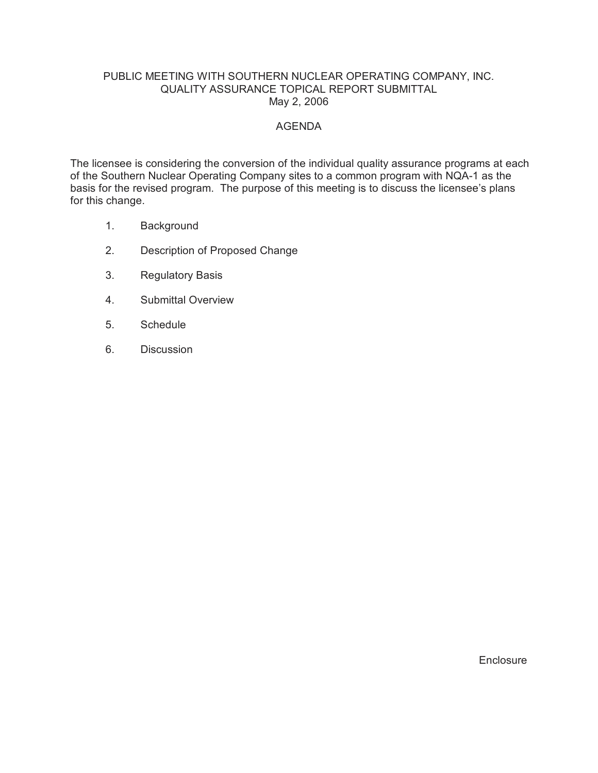## PUBLIC MEETING WITH SOUTHERN NUCLEAR OPERATING COMPANY, INC. QUALITY ASSURANCE TOPICAL REPORT SUBMITTAL May 2, 2006

## AGENDA

The licensee is considering the conversion of the individual quality assurance programs at each of the Southern Nuclear Operating Company sites to a common program with NQA-1 as the basis for the revised program. The purpose of this meeting is to discuss the licensee's plans for this change.

- 1. Background
- 2. Description of Proposed Change
- 3. Regulatory Basis
- 4. Submittal Overview
- 5. Schedule
- 6. Discussion

**Enclosure**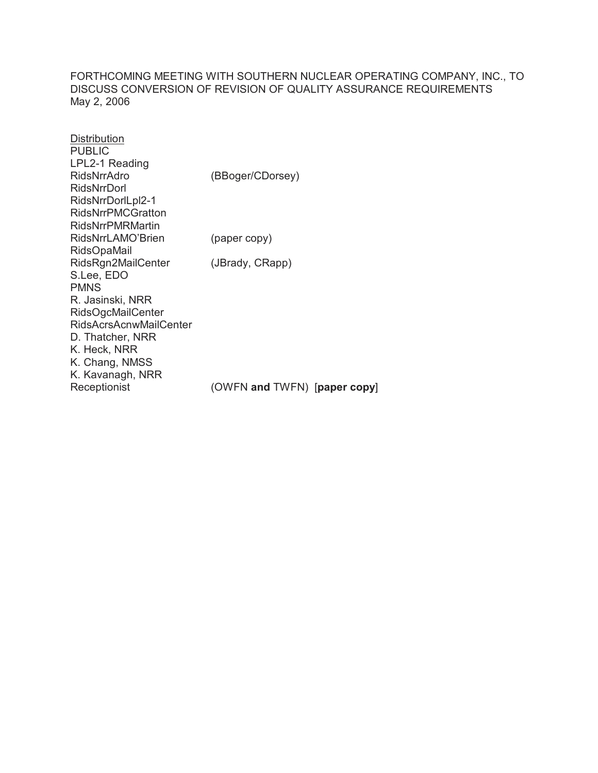FORTHCOMING MEETING WITH SOUTHERN NUCLEAR OPERATING COMPANY, INC., TO DISCUSS CONVERSION OF REVISION OF QUALITY ASSURANCE REQUIREMENTS May 2, 2006

| <b>Distribution</b>           |                              |
|-------------------------------|------------------------------|
| <b>PUBLIC</b>                 |                              |
| LPL2-1 Reading                |                              |
| RidsNrrAdro                   | (BBoger/CDorsey)             |
| RidsNrrDorl                   |                              |
| RidsNrrDorlLpl2-1             |                              |
| <b>RidsNrrPMCGratton</b>      |                              |
| RidsNrrPMRMartin              |                              |
| RidsNrrLAMO'Brien             | (paper copy)                 |
| <b>RidsOpaMail</b>            |                              |
| RidsRgn2MailCenter            | (JBrady, CRapp)              |
| S.Lee, EDO                    |                              |
| <b>PMNS</b>                   |                              |
| R. Jasinski, NRR              |                              |
| <b>RidsOgcMailCenter</b>      |                              |
| <b>RidsAcrsAcnwMailCenter</b> |                              |
| D. Thatcher, NRR              |                              |
| K. Heck, NRR                  |                              |
| K. Chang, NMSS                |                              |
| K. Kavanagh, NRR              |                              |
| Receptionist                  | (OWFN and TWFN) [paper copy] |
|                               |                              |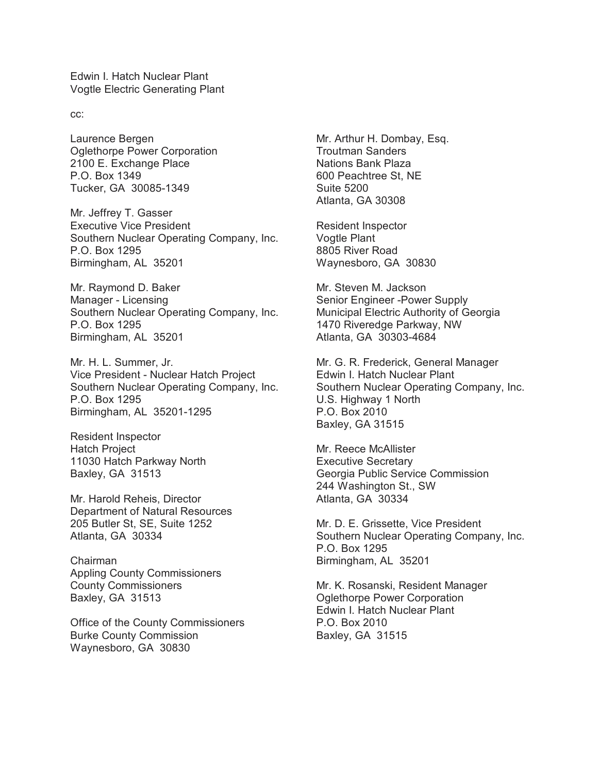Edwin I. Hatch Nuclear Plant Vogtle Electric Generating Plant

cc:

Laurence Bergen Oglethorpe Power Corporation 2100 E. Exchange Place P.O. Box 1349 Tucker, GA 30085-1349

Mr. Jeffrey T. Gasser Executive Vice President Southern Nuclear Operating Company, Inc. P.O. Box 1295 Birmingham, AL 35201

Mr. Raymond D. Baker Manager - Licensing Southern Nuclear Operating Company, Inc. P.O. Box 1295 Birmingham, AL 35201

Mr. H. L. Summer, Jr. Vice President - Nuclear Hatch Project Southern Nuclear Operating Company, Inc. P.O. Box 1295 Birmingham, AL 35201-1295

Resident Inspector Hatch Project 11030 Hatch Parkway North Baxley, GA 31513

Mr. Harold Reheis, Director Department of Natural Resources 205 Butler St, SE, Suite 1252 Atlanta, GA 30334

Chairman Appling County Commissioners County Commissioners Baxley, GA 31513

Office of the County Commissioners Burke County Commission Waynesboro, GA 30830

Mr. Arthur H. Dombay, Esq. Troutman Sanders Nations Bank Plaza 600 Peachtree St, NE Suite 5200 Atlanta, GA 30308

Resident Inspector Vogtle Plant 8805 River Road Waynesboro, GA 30830

Mr. Steven M. Jackson Senior Engineer -Power Supply Municipal Electric Authority of Georgia 1470 Riveredge Parkway, NW Atlanta, GA 30303-4684

Mr. G. R. Frederick, General Manager Edwin I. Hatch Nuclear Plant Southern Nuclear Operating Company, Inc. U.S. Highway 1 North P.O. Box 2010 Baxley, GA 31515

Mr. Reece McAllister Executive Secretary Georgia Public Service Commission 244 Washington St., SW Atlanta, GA 30334

Mr. D. E. Grissette, Vice President Southern Nuclear Operating Company, Inc. P.O. Box 1295 Birmingham, AL 35201

Mr. K. Rosanski, Resident Manager Oglethorpe Power Corporation Edwin I. Hatch Nuclear Plant P.O. Box 2010 Baxley, GA 31515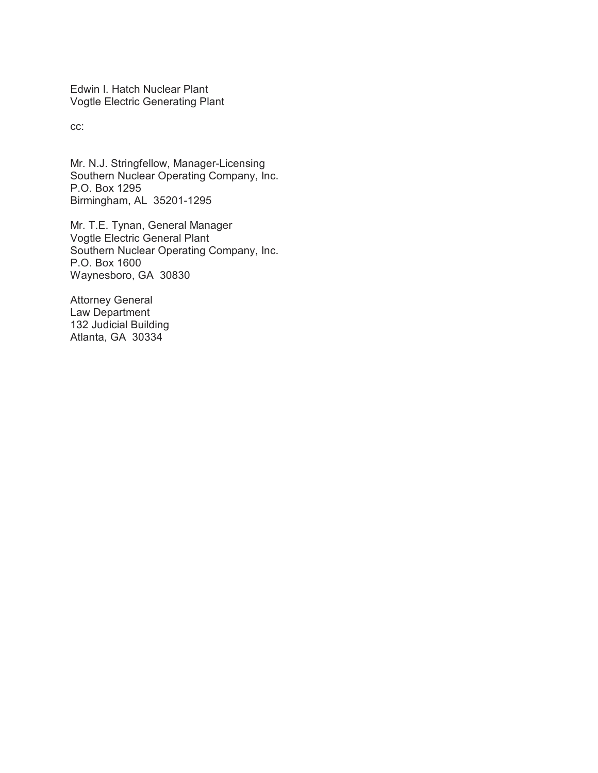Edwin I. Hatch Nuclear Plant Vogtle Electric Generating Plant

cc:

Mr. N.J. Stringfellow, Manager-Licensing Southern Nuclear Operating Company, Inc. P.O. Box 1295 Birmingham, AL 35201-1295

Mr. T.E. Tynan, General Manager Vogtle Electric General Plant Southern Nuclear Operating Company, Inc. P.O. Box 1600 Waynesboro, GA 30830

Attorney General Law Department 132 Judicial Building Atlanta, GA 30334